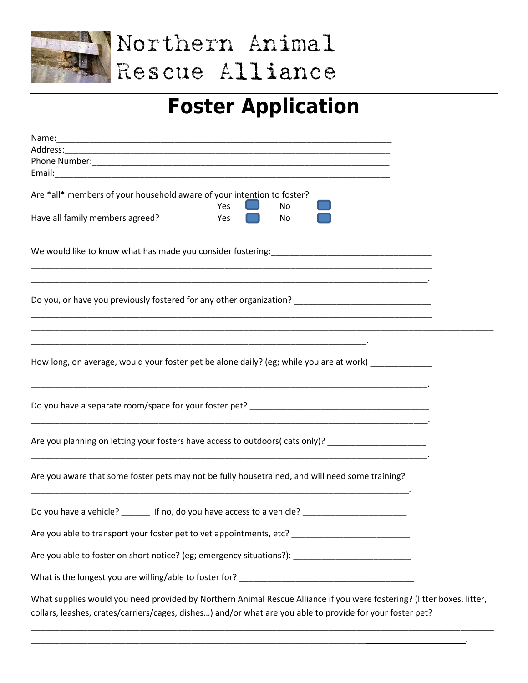

Northern Animal Rescue Alliance

## **Foster Application**

| Are *all* members of your household aware of your intention to foster?<br>Yes<br><b>No</b>                                                                                                                                          |  |
|-------------------------------------------------------------------------------------------------------------------------------------------------------------------------------------------------------------------------------------|--|
| Have all family members agreed?<br>Yes<br>No                                                                                                                                                                                        |  |
|                                                                                                                                                                                                                                     |  |
| Do you, or have you previously fostered for any other organization? _______________________________                                                                                                                                 |  |
| How long, on average, would your foster pet be alone daily? (eg; while you are at work)                                                                                                                                             |  |
|                                                                                                                                                                                                                                     |  |
| Are you planning on letting your fosters have access to outdoors(cats only)? ______________________                                                                                                                                 |  |
| Are you aware that some foster pets may not be fully housetrained, and will need some training?<br><u> 1989 - Johann Stoff, deutscher Stoff, der Stoff, der Stoff, der Stoff, der Stoff, der Stoff, der Stoff, der S</u>            |  |
| Do you have a vehicle? _______ If no, do you have access to a vehicle? ____________________________                                                                                                                                 |  |
| Are you able to transport your foster pet to vet appointments, etc? _______________________________                                                                                                                                 |  |
| Are you able to foster on short notice? (eg; emergency situations?): _______________________________                                                                                                                                |  |
|                                                                                                                                                                                                                                     |  |
| What supplies would you need provided by Northern Animal Rescue Alliance if you were fostering? (litter boxes, litter,<br>collars, leashes, crates/carriers/cages, dishes) and/or what are you able to provide for your foster pet? |  |

\_\_\_\_\_\_\_\_\_\_\_\_\_\_\_\_\_\_\_\_\_\_\_\_\_\_\_\_\_\_\_\_\_\_\_\_\_\_\_\_\_\_\_\_\_\_\_\_\_\_\_\_\_\_\_\_\_\_\_\_\_\_\_\_\_\_\_\_\_\_\_ .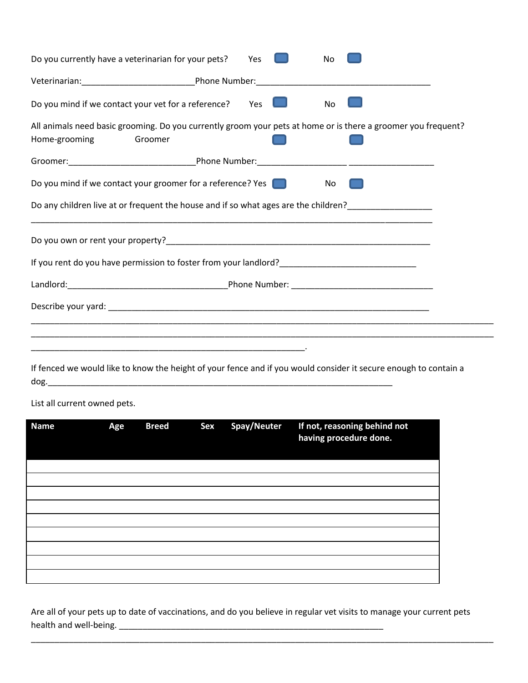| Do you currently have a veterinarian for your pets?<br><b>No</b><br>Yes                                                                   |  |  |  |  |  |  |  |
|-------------------------------------------------------------------------------------------------------------------------------------------|--|--|--|--|--|--|--|
|                                                                                                                                           |  |  |  |  |  |  |  |
| Do you mind if we contact your vet for a reference? Yes<br>No                                                                             |  |  |  |  |  |  |  |
| All animals need basic grooming. Do you currently groom your pets at home or is there a groomer you frequent?<br>Home-grooming<br>Groomer |  |  |  |  |  |  |  |
|                                                                                                                                           |  |  |  |  |  |  |  |
| Do you mind if we contact your groomer for a reference? Yes $\Box$<br>No                                                                  |  |  |  |  |  |  |  |
|                                                                                                                                           |  |  |  |  |  |  |  |
|                                                                                                                                           |  |  |  |  |  |  |  |
|                                                                                                                                           |  |  |  |  |  |  |  |
|                                                                                                                                           |  |  |  |  |  |  |  |
|                                                                                                                                           |  |  |  |  |  |  |  |
|                                                                                                                                           |  |  |  |  |  |  |  |
| <u> 1989 - Johann Stoff, deutscher Stoff, der Stoff, der Stoff, der Stoff, der Stoff, der Stoff, der Stoff, der S</u>                     |  |  |  |  |  |  |  |

If fenced we would like to know the height of your fence and if you would consider it secure enough to contain a dog.\_\_\_\_\_\_\_\_\_\_\_\_\_\_\_\_\_\_\_\_\_\_\_\_\_\_\_\_\_\_\_\_\_\_\_\_\_\_\_\_\_\_\_\_\_\_\_\_\_\_\_\_\_\_\_\_\_\_\_\_\_\_\_\_\_\_\_\_\_\_\_\_\_

List all current owned pets.

| <b>Name</b> | Age | <b>Breed</b> | Sex | Spay/Neuter | If not, reasoning behind not<br>having procedure done. |
|-------------|-----|--------------|-----|-------------|--------------------------------------------------------|
|             |     |              |     |             |                                                        |
|             |     |              |     |             |                                                        |
|             |     |              |     |             |                                                        |
|             |     |              |     |             |                                                        |
|             |     |              |     |             |                                                        |
|             |     |              |     |             |                                                        |
|             |     |              |     |             |                                                        |
|             |     |              |     |             |                                                        |
|             |     |              |     |             |                                                        |

Are all of your pets up to date of vaccinations, and do you believe in regular vet visits to manage your current pets health and well-being. \_\_\_\_\_\_\_\_\_\_\_\_\_\_\_\_\_\_\_\_\_\_\_\_\_\_\_\_\_\_\_\_\_\_\_\_\_\_\_\_\_\_\_\_\_\_\_\_\_\_\_\_\_\_\_\_

\_\_\_\_\_\_\_\_\_\_\_\_\_\_\_\_\_\_\_\_\_\_\_\_\_\_\_\_\_\_\_\_\_\_\_\_\_\_\_\_\_\_\_\_\_\_\_\_\_\_\_\_\_\_\_\_\_\_\_\_\_\_\_\_\_\_\_\_\_\_\_\_\_\_\_\_\_\_\_\_\_\_\_\_\_\_\_\_\_\_\_\_\_\_\_\_\_\_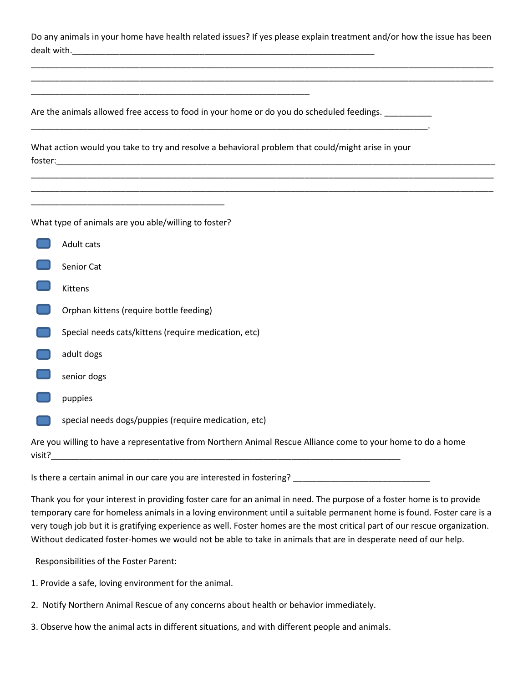Do any animals in your home have health related issues? If yes please explain treatment and/or how the issue has been dealt with.\_\_\_\_\_\_\_\_\_\_\_\_\_\_\_\_\_\_\_\_\_\_\_\_\_\_\_\_\_\_\_\_\_\_\_\_\_\_\_\_\_\_\_\_\_\_\_\_\_\_\_\_\_\_\_\_\_\_\_\_\_\_\_\_

\_\_\_\_\_\_\_\_\_\_\_\_\_\_\_\_\_\_\_\_\_\_\_\_\_\_\_\_\_\_\_\_\_\_\_\_\_\_\_\_\_\_\_\_\_\_\_\_\_\_\_\_\_\_\_\_\_\_\_\_\_\_\_\_\_\_\_\_\_\_\_\_\_\_\_\_\_\_\_\_\_\_\_\_\_\_\_\_\_\_\_\_\_\_\_\_\_\_ \_\_\_\_\_\_\_\_\_\_\_\_\_\_\_\_\_\_\_\_\_\_\_\_\_\_\_\_\_\_\_\_\_\_\_\_\_\_\_\_\_\_\_\_\_\_\_\_\_\_\_\_\_\_\_\_\_\_\_\_\_\_\_\_\_\_\_\_\_\_\_\_\_\_\_\_\_\_\_\_\_\_\_\_\_\_\_\_\_\_\_\_\_\_\_\_\_\_

\_\_\_\_\_\_\_\_\_\_\_\_\_\_\_\_\_\_\_\_\_\_\_\_\_\_\_\_\_\_\_\_\_\_\_\_\_\_\_\_\_\_\_\_\_\_\_\_\_\_\_\_\_\_\_\_\_\_\_\_\_\_\_\_\_\_\_\_\_\_\_\_\_\_\_\_\_\_\_\_\_\_\_\_\_\_\_\_\_\_\_\_\_\_\_\_\_\_ \_\_\_\_\_\_\_\_\_\_\_\_\_\_\_\_\_\_\_\_\_\_\_\_\_\_\_\_\_\_\_\_\_\_\_\_\_\_\_\_\_\_\_\_\_\_\_\_\_\_\_\_\_\_\_\_\_\_\_\_\_\_\_\_\_\_\_\_\_\_\_\_\_\_\_\_\_\_\_\_\_\_\_\_\_\_\_\_\_\_\_\_\_\_\_\_\_\_

Are the animals allowed free access to food in your home or do you do scheduled feedings. \_\_\_\_\_\_\_\_\_

\_\_\_\_\_\_\_\_\_\_\_\_\_\_\_\_\_\_\_\_\_\_\_\_\_\_\_\_\_\_\_\_\_\_\_\_\_\_\_\_\_\_\_\_\_\_\_\_\_\_\_\_\_\_\_\_\_\_\_

What action would you take to try and resolve a behavioral problem that could/might arise in your foster:\_\_\_\_\_\_\_\_\_\_\_\_\_\_\_\_\_\_\_\_\_\_\_\_\_\_\_\_\_\_\_\_\_\_\_\_\_\_\_\_\_\_\_\_\_\_\_\_\_\_\_\_\_\_\_\_\_\_\_\_\_\_\_\_\_\_\_\_\_\_\_\_\_\_\_\_\_\_\_\_\_\_\_\_\_\_\_\_\_\_\_\_\_

\_\_\_\_\_\_\_\_\_\_\_\_\_\_\_\_\_\_\_\_\_\_\_\_\_\_\_\_\_\_\_\_\_\_\_\_\_\_\_\_\_\_\_\_\_\_\_\_\_\_\_\_\_\_\_\_\_\_\_\_\_\_\_\_\_\_\_\_\_\_\_\_\_\_\_\_\_\_\_\_\_\_\_\_.

What type of animals are you able/willing to foster?

\_\_\_\_\_\_\_\_\_\_\_\_\_\_\_\_\_\_\_\_\_\_\_\_\_\_\_\_\_\_\_\_\_\_\_\_\_\_\_\_\_

- Adult cats
- Senior Cat
- Kittens
- Orphan kittens (require bottle feeding)
- Special needs cats/kittens (require medication, etc)
- adult dogs
- senior dogs
- puppies
- special needs dogs/puppies (require medication, etc)

Are you willing to have a representative from Northern Animal Rescue Alliance come to your home to do a home  $visit?$ 

Is there a certain animal in our care you are interested in fostering? \_\_\_\_\_\_\_\_\_\_\_\_\_\_\_\_\_\_\_\_\_\_\_\_\_\_\_\_\_

Thank you for your interest in providing foster care for an animal in need. The purpose of a foster home is to provide temporary care for homeless animals in a loving environment until a suitable permanent home is found. Foster care is a very tough job but it is gratifying experience as well. Foster homes are the most critical part of our rescue organization. Without dedicated foster-homes we would not be able to take in animals that are in desperate need of our help.

Responsibilities of the Foster Parent:

- 1. Provide a safe, loving environment for the animal.
- 2. Notify Northern Animal Rescue of any concerns about health or behavior immediately.
- 3. Observe how the animal acts in different situations, and with different people and animals.